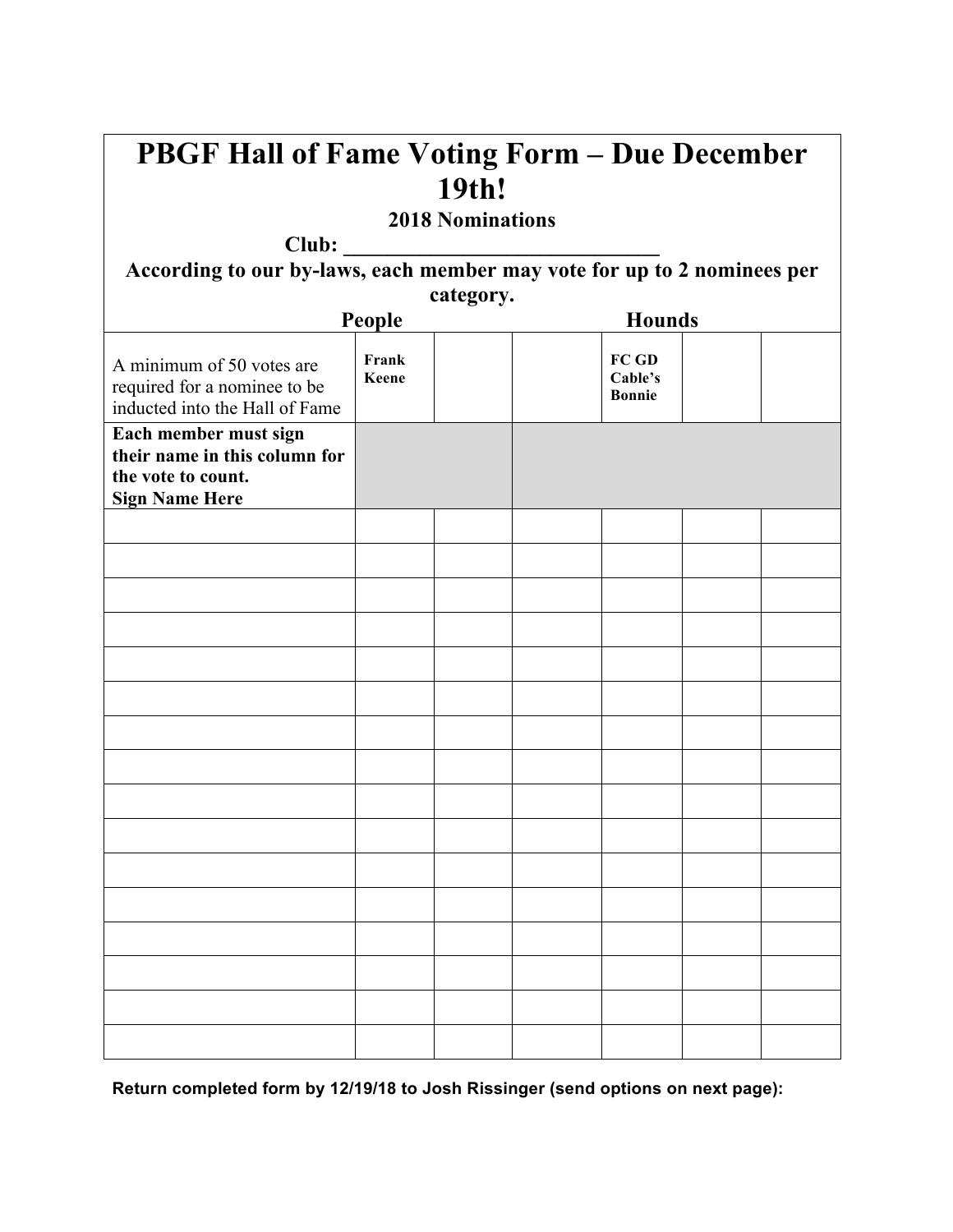| <b>PBGF Hall of Fame Voting Form - Due December</b>                                         |                |  |               |                                   |  |  |
|---------------------------------------------------------------------------------------------|----------------|--|---------------|-----------------------------------|--|--|
| 19th!<br><b>2018 Nominations</b>                                                            |                |  |               |                                   |  |  |
|                                                                                             |                |  |               |                                   |  |  |
| category.                                                                                   |                |  |               |                                   |  |  |
| People                                                                                      |                |  | <b>Hounds</b> |                                   |  |  |
| A minimum of 50 votes are<br>required for a nominee to be<br>inducted into the Hall of Fame | Frank<br>Keene |  |               | FC GD<br>Cable's<br><b>Bonnie</b> |  |  |
| Each member must sign                                                                       |                |  |               |                                   |  |  |
| their name in this column for<br>the vote to count.<br><b>Sign Name Here</b>                |                |  |               |                                   |  |  |
|                                                                                             |                |  |               |                                   |  |  |
|                                                                                             |                |  |               |                                   |  |  |
|                                                                                             |                |  |               |                                   |  |  |
|                                                                                             |                |  |               |                                   |  |  |
|                                                                                             |                |  |               |                                   |  |  |
|                                                                                             |                |  |               |                                   |  |  |
|                                                                                             |                |  |               |                                   |  |  |
|                                                                                             |                |  |               |                                   |  |  |
|                                                                                             |                |  |               |                                   |  |  |
|                                                                                             |                |  |               |                                   |  |  |
|                                                                                             |                |  |               |                                   |  |  |
|                                                                                             |                |  |               |                                   |  |  |
|                                                                                             |                |  |               |                                   |  |  |
|                                                                                             |                |  |               |                                   |  |  |
|                                                                                             |                |  |               |                                   |  |  |
|                                                                                             |                |  |               |                                   |  |  |

 $\mathbf{r}$ 

**Return completed form by 12/19/18 to Josh Rissinger (send options on next page):**